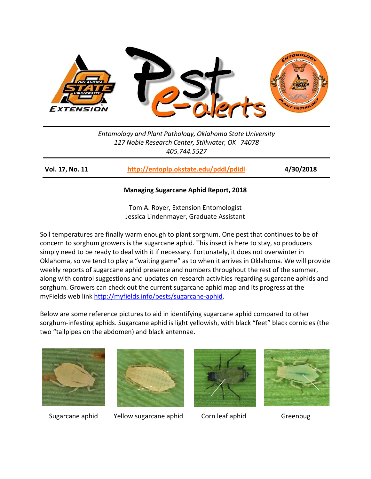

*Entomology and Plant Pathology, Oklahoma State University 127 Noble Research Center, Stillwater, OK 74078 405.744.5527*

**Vol. 17, No. 11 <http://entoplp.okstate.edu/pddl/pdidl> 4/30/2018**

## **Managing Sugarcane Aphid Report, 2018**

Tom A. Royer, Extension Entomologist Jessica Lindenmayer, Graduate Assistant

Soil temperatures are finally warm enough to plant sorghum. One pest that continues to be of concern to sorghum growers is the sugarcane aphid. This insect is here to stay, so producers simply need to be ready to deal with it if necessary. Fortunately, it does not overwinter in Oklahoma, so we tend to play a "waiting game" as to when it arrives in Oklahoma. We will provide weekly reports of sugarcane aphid presence and numbers throughout the rest of the summer, along with control suggestions and updates on research activities regarding sugarcane aphids and sorghum. Growers can check out the current sugarcane aphid map and its progress at the myFields web link [http://myfields.info/pests/sugarcane-aphid.](http://myfields.info/pests/sugarcane-aphid)

Below are some reference pictures to aid in identifying sugarcane aphid compared to other sorghum-infesting aphids. Sugarcane aphid is light yellowish, with black "feet" black cornicles (the two "tailpipes on the abdomen) and black antennae.





Sugarcane aphid Yellow sugarcane aphid Corn leaf aphid Greenbug